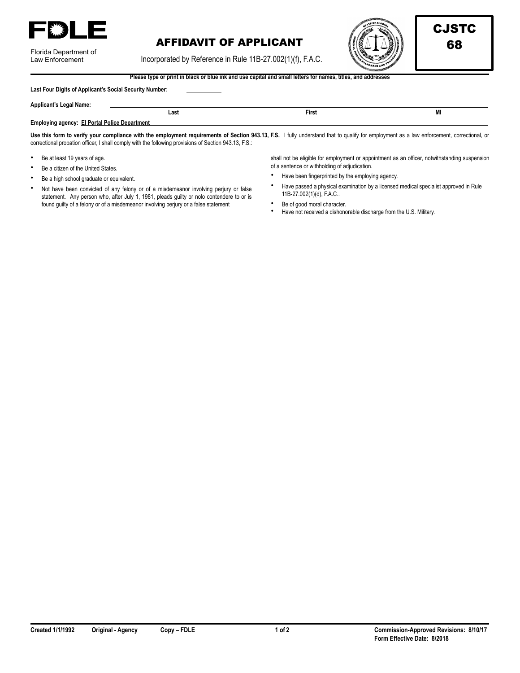

| Florida Department of |
|-----------------------|
| Law Enforcement       |

## AFFIDAVIT OF APPLICANT  $\left(\left(\left(\begin{smallmatrix} 0 & 0 \\ 0 & 0 \end{smallmatrix}\right) \begin{smallmatrix} 1 & 0 \\ 0 & 0 \end{smallmatrix}\right) \right)$  68

Incorporated by Reference in Rule 11B-27.002(1)(f), F.A.C.

**Last Contract Contract Contract Contract Contract Contract Contract Contract Contract Contract Contract Contract Contract Contract Contract Contract Contract Contract Contract Contract Contract Contract Contract Contract** 



**Please type or print in black or blue ink and use capital and small letters for names, titles, and addresses** 

|  | Last Four Digits of Applicant's Social Security Number: |  |
|--|---------------------------------------------------------|--|
|--|---------------------------------------------------------|--|

| <b>Applicant's Legal Name:</b> |  |
|--------------------------------|--|
|                                |  |

**Employing agency: El Portal Police Department** 

Use this form to verify your compliance with the employment requirements of Section 943.13, F.S. I fully understand that to qualify for employment as a law enforcement, correctional, or correctional probation officer, I shall comply with the following provisions of Section 943.13, F.S.:

- Be at least 19 years of age.
- Be a citizen of the United States.
- Be a high school graduate or equivalent.
- Not have been convicted of any felony or of a misdemeanor involving perjury or false statement. Any person who, after July 1, 1981, pleads guilty or nolo contendere to or is found guilty of a felony or of a misdemeanor involving perjury or a false statement

shall not be eligible for employment or appointment as an officer, notwithstanding suspension of a sentence or withholding of adjudication.

- Have been fingerprinted by the employing agency.
- Have passed a physical examination by a licensed medical specialist approved in Rule 11B-27.002(1)(d), F.A.C..
- Be of good moral character.
- Have not received a dishonorable discharge from the U.S. Military.